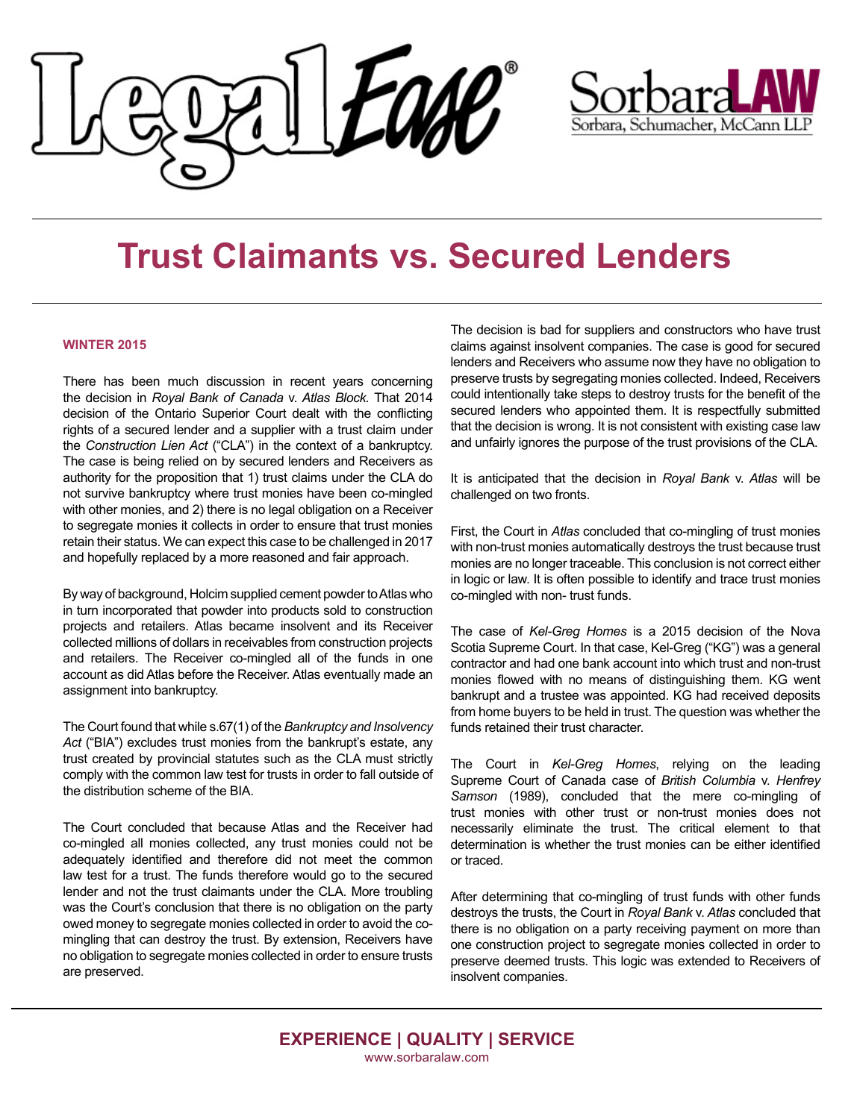



## **Trust Claimants vs. Secured Lenders**

## **WINTER 2015**

the decision in *Royal Bank of Canada* v. Atlas Block. That 2014 and according in helping period of the Ontario Superior Court dealt with the conflicting rights of a secured lender and a supplier with a trust claim under rights of a secured lender and a supplier with a trust claim under ngins of a secured lender and a supplier with a trust claim under<br>the *Construction Lien Act* ("CLA") in the context of a bankruptcy. can can mistake mistakes. The mistakes do the mistakes do the mistakes of the mistakes of the mistakes of the mistakes of the mistakes of the mistakes of the mistakes. The mistakes of the mistakes of the mistakes of the mi The case is being relied on by secured lenders and Receivers as authority for the proposition that 1) trust claims under the CLA do with other monies, and 2) there is no legal obligation on a Receiver to segregate monies it collects in order to ensure that trust monies retain their status. We can expect this case to be challenged in 2017 and hopefully replaced by a more reasoned and fair approach. There has been much discussion in recent years concerning not survive bankruptcy where trust monies have been co-mingled

By way of background, Holcim supplied cement powder to Atlas who by hay or background, holding applied combin powder to have the m tan moorporated that powder meet products out to construction.<br>projects and retailers. Atlas became insolvent and its Receiver projects and retailers. Allas became insolvent and its receiver<br>collected millions of dollars in receivables from construction projects  $m_{\rm F}$  misconceptions about bringing and  $m_{\rm F}$  as  $m_{\rm F}$  as  $m_{\rm F}$  as  $m_{\rm F}$  as  $m_{\rm F}$  as  $m_{\rm F}$ and retailers. The Receiver co-mingled all of the funds in one account as did Atlas before the Receiver. Atlas eventually made an assignment into bankruptcy.

Act ("BIA") excludes trust monies from the bankrupt's estate, any trust created by provincial statutes such as the CLA must strictly comply with the common law test for trusts in order to fall outside of the distribution scheme of the BIA. The Court found that while s.67(1) of the *Bankruptcy and Insolvency* 

The Court concluded that because Atlas and the Receiver had co-mingled all monies collected, any trust monies could not be law test for a trust. The funds therefore would go to the secured aw rest for a trust. The furtes therefore would go to the secure lender and not the trust claimants under the CLA. More troubling was the Court's conclusion that there is no obligation on the party owed money to segregate monies collected in order to avoid the cono obligation to segregate monies collected in order to ensure trusts level of care that a medical properties  $\alpha$  medical properties  $\alpha$  and  $\alpha$  are preserved. adequately identified and therefore did not meet the common mingling that can destroy the trust. By extension, Receivers have

The decision is bad for suppliers and constructors who have trust claims against insolvent companies. The case is good for secured enders and Receivers who assume now they have no obligation to preserve trusts by segregating monies collected. Indeed, Receivers could intentionally take steps to destroy trusts for the benefit of the secured lenders who appointed them. It is respectfully submitted that the decision is wrong. It is not consistent with existing case law  $p$  infairly ignores the nurnose of the trust provisions of the  $C<sub>1</sub>$  A and unfairly ignores the purpose of the trust provisions of the CLA. claims against insolvent companies. The case is good for secured<br>lenders and Receivers who assume now they have no obligation to<br>preserve trusts by segregating monies collected. Indeed, Receivers

diagnose a condition when a reasonable physician would It is anticipated that the decision in *Royal Bank* v. Atlas will be challenged on two fronts.

First, the Court in *Atlas* concluded that co-mingling of trust monies with non-trust monies automatically destroys the trust because trust monies are no longer traceable. This conclusion is not correct either monies are no longer addeniation into condition its condition in logic or law. It is often possible to identify and trace trust monies break of the standard of the standard of care where the medical product medical product medical product medical product  $\alpha$ co-mingled with non-trust funds.

The case of *Kel-Greg Homes* is a 2015 decision of the Nova Scotia Supreme Court. In that case, Kel-Greg ("KG") was a general<br>contractor and had one bank account into which trust and non-trust contractor and had one bank account into which trust and non-trust bankrupt and a trustee was appointed. KG had received deposits from home buyers to be held in trust. The question was whether the funds retained their trust character. monies flowed with no means of distinguishing them. KG went

 $t = p \cdot \frac{p}{\sqrt{p}}$ The Court in *Kel-Greg Homes*, relying on the leading Supreme Court of Canada case of *British Columbia v. Henfrey* Samson (1989), concluded that the mere co-mingling of **Damages** necessarily eliminate the trust. The critical element to that  $\blacksquare$  individuals community to see us about a potential potential potential potential potential potential potential potential potential potential potential potential potential potential potential potential potential pote trust monies with other trust or non-trust monies does not determination is whether the trust monies can be either identified or traced.

After determining that co-mingling of trust funds with other funds After determining that co-mingling of trust funds with other funds<br>destroys the trusts, the Court in *Royal Bank* v. *Atlas* concluded that there is no obligation on a party receiving payment on more than one construction project to segregate monies collected in order to preserve deemed trusts. This logic was extended to Receivers of extend as damages for  $\frac{1}{2}$  insolvent companies.